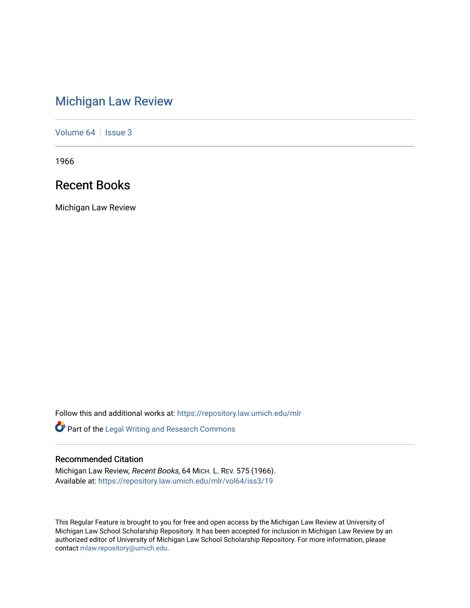# [Michigan Law Review](https://repository.law.umich.edu/mlr)

[Volume 64](https://repository.law.umich.edu/mlr/vol64) | [Issue 3](https://repository.law.umich.edu/mlr/vol64/iss3)

1966

# Recent Books

Michigan Law Review

Follow this and additional works at: [https://repository.law.umich.edu/mlr](https://repository.law.umich.edu/mlr?utm_source=repository.law.umich.edu%2Fmlr%2Fvol64%2Fiss3%2F19&utm_medium=PDF&utm_campaign=PDFCoverPages) 

Part of the [Legal Writing and Research Commons](http://network.bepress.com/hgg/discipline/614?utm_source=repository.law.umich.edu%2Fmlr%2Fvol64%2Fiss3%2F19&utm_medium=PDF&utm_campaign=PDFCoverPages) 

# Recommended Citation

Michigan Law Review, Recent Books, 64 MICH. L. REV. 575 (1966). Available at: [https://repository.law.umich.edu/mlr/vol64/iss3/19](https://repository.law.umich.edu/mlr/vol64/iss3/19?utm_source=repository.law.umich.edu%2Fmlr%2Fvol64%2Fiss3%2F19&utm_medium=PDF&utm_campaign=PDFCoverPages) 

This Regular Feature is brought to you for free and open access by the Michigan Law Review at University of Michigan Law School Scholarship Repository. It has been accepted for inclusion in Michigan Law Review by an authorized editor of University of Michigan Law School Scholarship Repository. For more information, please contact [mlaw.repository@umich.edu](mailto:mlaw.repository@umich.edu).